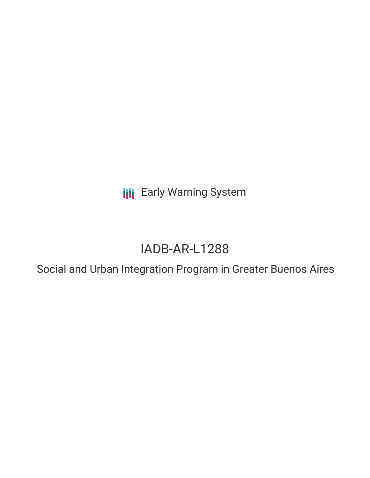**III** Early Warning System

# IADB-AR-L1288

Social and Urban Integration Program in Greater Buenos Aires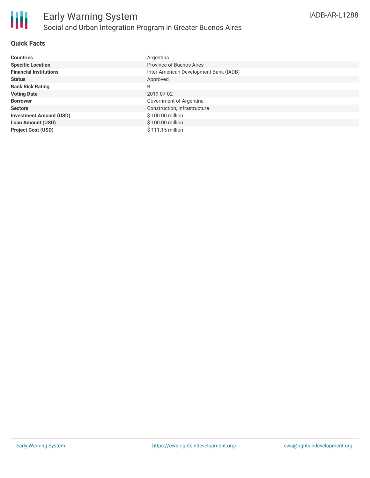

## **Quick Facts**

| <b>Countries</b>               | Argentina                              |
|--------------------------------|----------------------------------------|
| <b>Specific Location</b>       | Province of Buenos Aires               |
| <b>Financial Institutions</b>  | Inter-American Development Bank (IADB) |
| <b>Status</b>                  | Approved                               |
| <b>Bank Risk Rating</b>        | B                                      |
| <b>Voting Date</b>             | 2019-07-02                             |
| <b>Borrower</b>                | Government of Argentina                |
| <b>Sectors</b>                 | Construction, Infrastructure           |
| <b>Investment Amount (USD)</b> | \$100.00 million                       |
| <b>Loan Amount (USD)</b>       | \$100.00 million                       |
| <b>Project Cost (USD)</b>      | $$111.15$ million                      |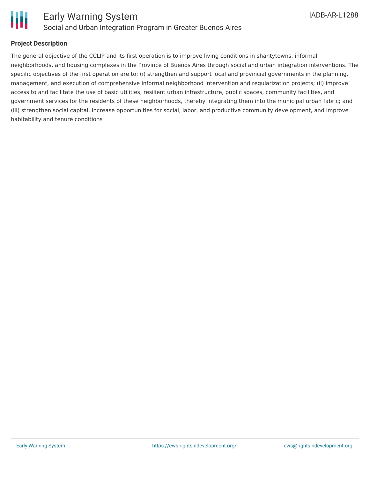

#### **Project Description**

The general objective of the CCLIP and its first operation is to improve living conditions in shantytowns, informal neighborhoods, and housing complexes in the Province of Buenos Aires through social and urban integration interventions. The specific objectives of the first operation are to: (i) strengthen and support local and provincial governments in the planning, management, and execution of comprehensive informal neighborhood intervention and regularization projects; (ii) improve access to and facilitate the use of basic utilities, resilient urban infrastructure, public spaces, community facilities, and government services for the residents of these neighborhoods, thereby integrating them into the municipal urban fabric; and (iii) strengthen social capital, increase opportunities for social, labor, and productive community development, and improve habitability and tenure conditions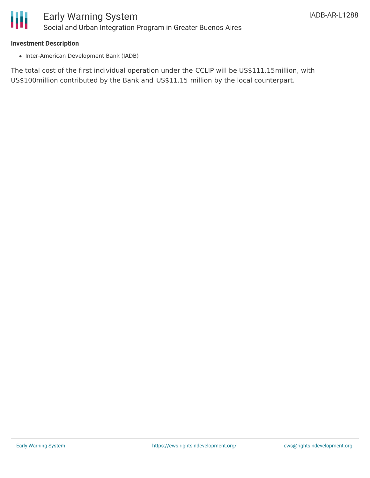

#### **Investment Description**

• Inter-American Development Bank (IADB)

The total cost of the first individual operation under the CCLIP will be US\$111.15million, with US\$100million contributed by the Bank and US\$11.15 million by the local counterpart.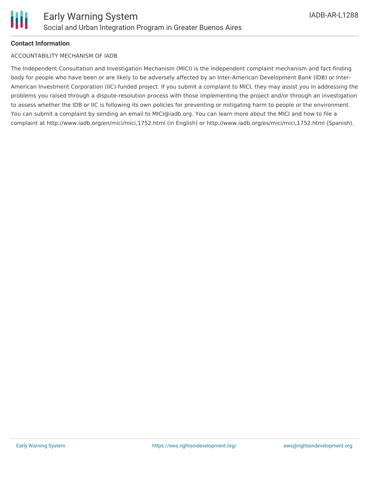## **Contact Information**

#### ACCOUNTABILITY MECHANISM OF IADB

The Independent Consultation and Investigation Mechanism (MICI) is the independent complaint mechanism and fact-finding body for people who have been or are likely to be adversely affected by an Inter-American Development Bank (IDB) or Inter-American Investment Corporation (IIC)-funded project. If you submit a complaint to MICI, they may assist you in addressing the problems you raised through a dispute-resolution process with those implementing the project and/or through an investigation to assess whether the IDB or IIC is following its own policies for preventing or mitigating harm to people or the environment. You can submit a complaint by sending an email to MICI@iadb.org. You can learn more about the MICI and how to file a complaint at http://www.iadb.org/en/mici/mici,1752.html (in English) or http://www.iadb.org/es/mici/mici,1752.html (Spanish).